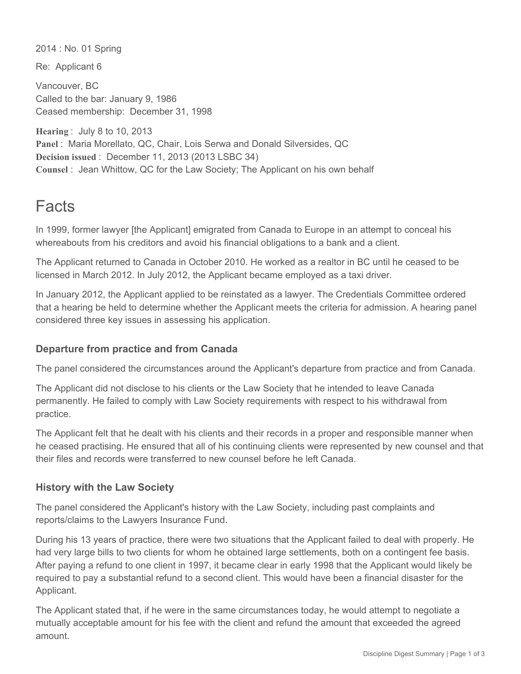2014 : No. 01 Spring

Re: Applicant 6

Vancouver, BC Called to the bar: January 9, 1986 Ceased membership: December 31, 1998

**Hearing** : July 8 to 10, 2013 **Panel** : Maria Morellato, QC, Chair, Lois Serwa and Donald Silversides, QC **Decision issued** : December 11, 2013 (2013 LSBC 34) **Counsel** : Jean Whittow, QC for the Law Society; The Applicant on his own behalf

# Facts

In 1999, former lawyer [the Applicant] emigrated from Canada to Europe in an attempt to conceal his whereabouts from his creditors and avoid his financial obligations to a bank and a client.

The Applicant returned to Canada in October 2010. He worked as a realtor in BC until he ceased to be licensed in March 2012. In July 2012, the Applicant became employed as a taxi driver.

In January 2012, the Applicant applied to be reinstated as a lawyer. The Credentials Committee ordered that a hearing be held to determine whether the Applicant meets the criteria for admission. A hearing panel considered three key issues in assessing his application.

# **Departure from practice and from Canada**

The panel considered the circumstances around the Applicant's departure from practice and from Canada.

The Applicant did not disclose to his clients or the Law Society that he intended to leave Canada permanently. He failed to comply with Law Society requirements with respect to his withdrawal from practice.

The Applicant felt that he dealt with his clients and their records in a proper and responsible manner when he ceased practising. He ensured that all of his continuing clients were represented by new counsel and that their files and records were transferred to new counsel before he left Canada.

### **History with the Law Society**

The panel considered the Applicant's history with the Law Society, including past complaints and reports/claims to the Lawyers Insurance Fund.

During his 13 years of practice, there were two situations that the Applicant failed to deal with properly. He had very large bills to two clients for whom he obtained large settlements, both on a contingent fee basis. After paying a refund to one client in 1997, it became clear in early 1998 that the Applicant would likely be required to pay a substantial refund to a second client. This would have been a financial disaster for the Applicant.

The Applicant stated that, if he were in the same circumstances today, he would attempt to negotiate a mutually acceptable amount for his fee with the client and refund the amount that exceeded the agreed amount.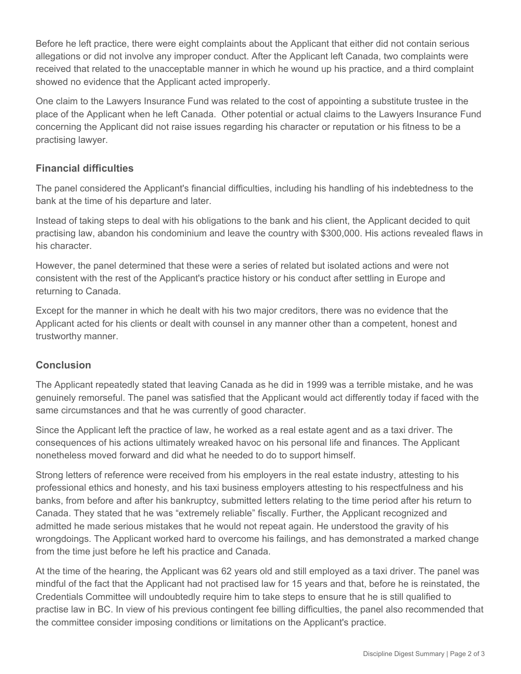Before he left practice, there were eight complaints about the Applicant that either did not contain serious allegations or did not involve any improper conduct. After the Applicant left Canada, two complaints were received that related to the unacceptable manner in which he wound up his practice, and a third complaint showed no evidence that the Applicant acted improperly.

One claim to the Lawyers Insurance Fund was related to the cost of appointing a substitute trustee in the place of the Applicant when he left Canada. Other potential or actual claims to the Lawyers Insurance Fund concerning the Applicant did not raise issues regarding his character or reputation or his fitness to be a practising lawyer.

### **Financial difficulties**

The panel considered the Applicant's financial difficulties, including his handling of his indebtedness to the bank at the time of his departure and later.

Instead of taking steps to deal with his obligations to the bank and his client, the Applicant decided to quit practising law, abandon his condominium and leave the country with \$300,000. His actions revealed flaws in his character.

However, the panel determined that these were a series of related but isolated actions and were not consistent with the rest of the Applicant's practice history or his conduct after settling in Europe and returning to Canada.

Except for the manner in which he dealt with his two major creditors, there was no evidence that the Applicant acted for his clients or dealt with counsel in any manner other than a competent, honest and trustworthy manner.

# **Conclusion**

The Applicant repeatedly stated that leaving Canada as he did in 1999 was a terrible mistake, and he was genuinely remorseful. The panel was satisfied that the Applicant would act differently today if faced with the same circumstances and that he was currently of good character.

Since the Applicant left the practice of law, he worked as a real estate agent and as a taxi driver. The consequences of his actions ultimately wreaked havoc on his personal life and finances. The Applicant nonetheless moved forward and did what he needed to do to support himself.

Strong letters of reference were received from his employers in the real estate industry, attesting to his professional ethics and honesty, and his taxi business employers attesting to his respectfulness and his banks, from before and after his bankruptcy, submitted letters relating to the time period after his return to Canada. They stated that he was "extremely reliable" fiscally. Further, the Applicant recognized and admitted he made serious mistakes that he would not repeat again. He understood the gravity of his wrongdoings. The Applicant worked hard to overcome his failings, and has demonstrated a marked change from the time just before he left his practice and Canada.

At the time of the hearing, the Applicant was 62 years old and still employed as a taxi driver. The panel was mindful of the fact that the Applicant had not practised law for 15 years and that, before he is reinstated, the Credentials Committee will undoubtedly require him to take steps to ensure that he is still qualified to practise law in BC. In view of his previous contingent fee billing difficulties, the panel also recommended that the committee consider imposing conditions or limitations on the Applicant's practice.